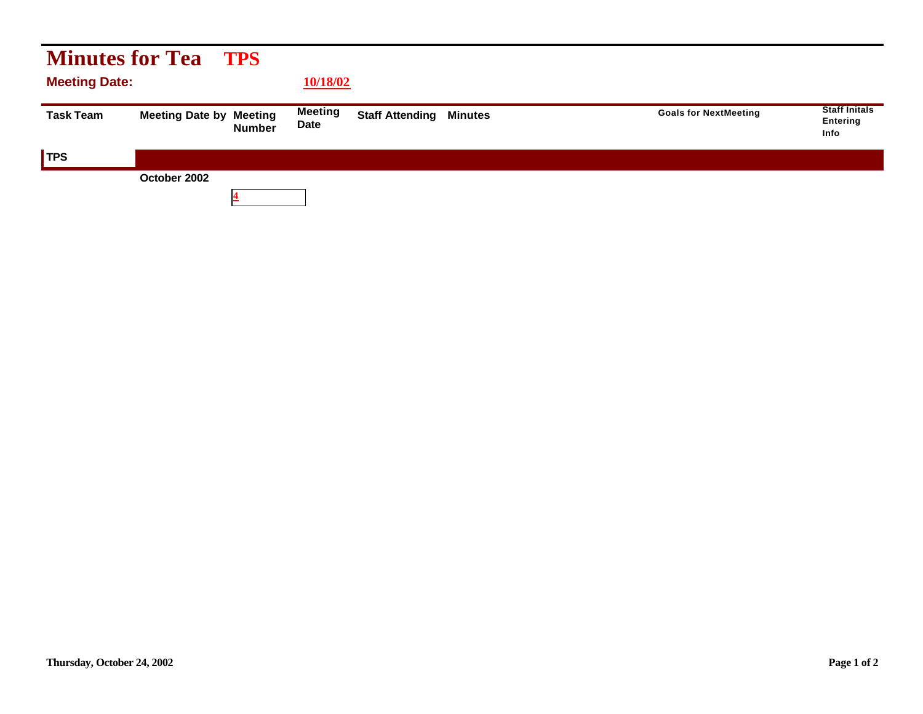| <b>Minutes for Tea TPS</b> |                                |               |                        |                        |                |                              |                                                 |  |  |  |  |
|----------------------------|--------------------------------|---------------|------------------------|------------------------|----------------|------------------------------|-------------------------------------------------|--|--|--|--|
| <b>Meeting Date:</b>       |                                | 10/18/02      |                        |                        |                |                              |                                                 |  |  |  |  |
| <b>Task Team</b>           | <b>Meeting Date by Meeting</b> | <b>Number</b> | <b>Meeting</b><br>Date | <b>Staff Attending</b> | <b>Minutes</b> | <b>Goals for NextMeeting</b> | <b>Staff Initals</b><br>Entering<br><b>Info</b> |  |  |  |  |
| <b>TPS</b>                 |                                |               |                        |                        |                |                              |                                                 |  |  |  |  |
|                            | October 2002                   |               |                        |                        |                |                              |                                                 |  |  |  |  |
|                            |                                |               |                        |                        |                |                              |                                                 |  |  |  |  |